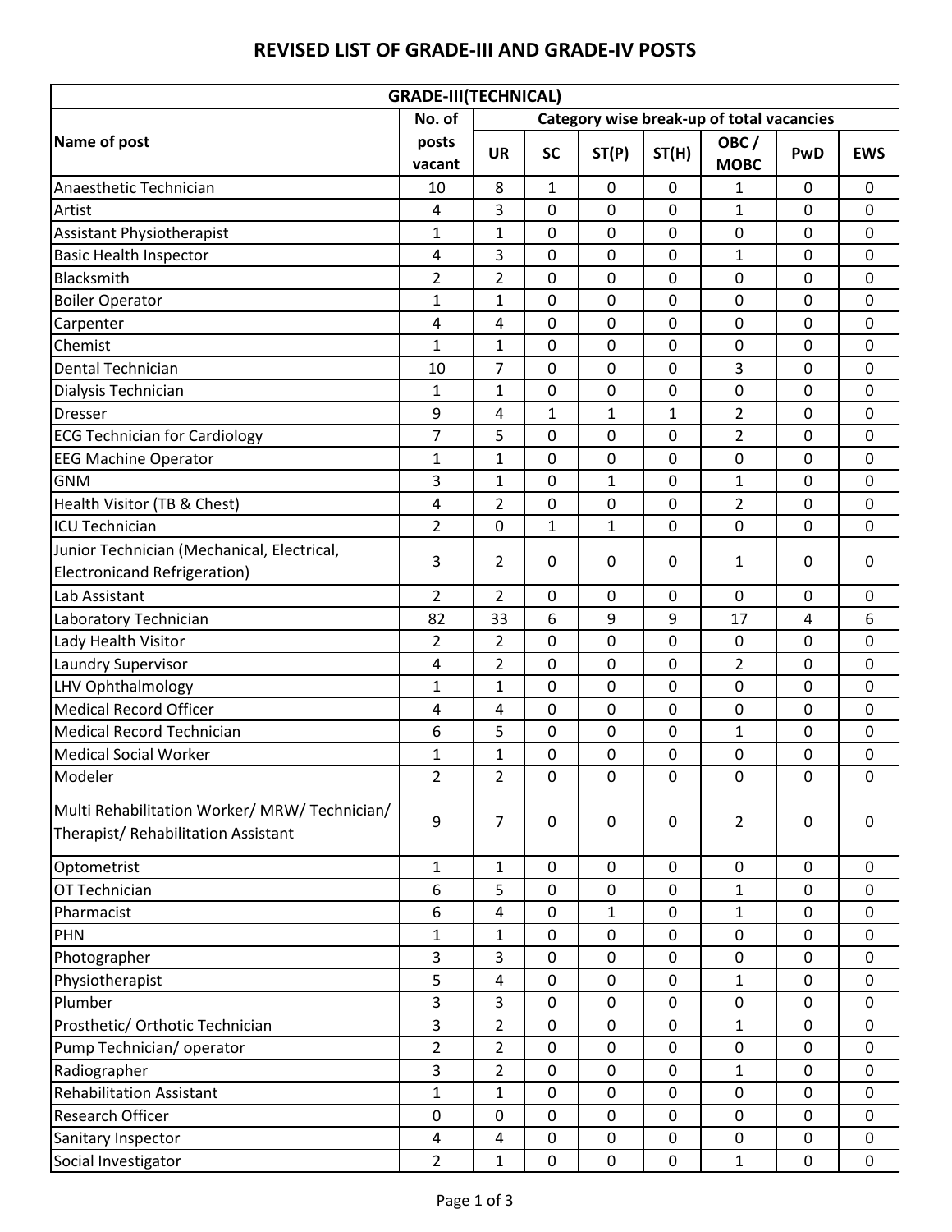|                                                                                    | <b>GRADE-III(TECHNICAL)</b>                         |                |              |              |       |                     |             |             |
|------------------------------------------------------------------------------------|-----------------------------------------------------|----------------|--------------|--------------|-------|---------------------|-------------|-------------|
|                                                                                    | No. of<br>Category wise break-up of total vacancies |                |              |              |       |                     |             |             |
| Name of post                                                                       | posts<br>vacant                                     | <b>UR</b>      | <b>SC</b>    | ST(P)        | ST(H) | OBC/<br><b>MOBC</b> | PwD         | <b>EWS</b>  |
| Anaesthetic Technician                                                             | 10                                                  | 8              | $\mathbf{1}$ | 0            | 0     | 1                   | 0           | 0           |
| Artist                                                                             | 4                                                   | 3              | $\mathbf 0$  | 0            | 0     | $\mathbf 1$         | $\mathbf 0$ | $\mathbf 0$ |
| Assistant Physiotherapist                                                          | $\mathbf{1}$                                        | 1              | $\mathbf 0$  | 0            | 0     | $\mathbf 0$         | 0           | 0           |
| <b>Basic Health Inspector</b>                                                      | 4                                                   | 3              | $\mathbf 0$  | 0            | 0     | 1                   | 0           | 0           |
| Blacksmith                                                                         | $\overline{2}$                                      | $\overline{2}$ | $\mathbf 0$  | 0            | 0     | $\mathbf 0$         | 0           | $\mathbf 0$ |
| <b>Boiler Operator</b>                                                             | 1                                                   | $\mathbf{1}$   | $\mathbf 0$  | 0            | 0     | $\mathbf 0$         | 0           | 0           |
| Carpenter                                                                          | 4                                                   | $\overline{4}$ | $\mathbf 0$  | 0            | 0     | $\mathbf 0$         | 0           | $\mathbf 0$ |
| Chemist                                                                            | $\mathbf{1}$                                        | $\mathbf{1}$   | $\mathbf 0$  | 0            | 0     | $\pmb{0}$           | 0           | 0           |
| Dental Technician                                                                  | 10                                                  | $\overline{7}$ | $\mathbf 0$  | 0            | 0     | 3                   | 0           | 0           |
| Dialysis Technician                                                                | $\mathbf{1}$                                        | $\mathbf{1}$   | $\mathbf 0$  | 0            | 0     | $\mathbf 0$         | 0           | $\mathbf 0$ |
| <b>Dresser</b>                                                                     | 9                                                   | 4              | $\mathbf{1}$ | 1            | 1     | 2                   | 0           | 0           |
| <b>ECG Technician for Cardiology</b>                                               | $\overline{7}$                                      | 5              | $\mathbf 0$  | 0            | 0     | $\overline{2}$      | 0           | $\mathbf 0$ |
| <b>EEG Machine Operator</b>                                                        | $\mathbf{1}$                                        | $\mathbf{1}$   | $\mathbf 0$  | 0            | 0     | $\mathbf 0$         | 0           | 0           |
| <b>GNM</b>                                                                         | 3                                                   | $\mathbf{1}$   | $\mathbf 0$  | $\mathbf{1}$ | 0     | $\mathbf 1$         | 0           | $\mathbf 0$ |
| Health Visitor (TB & Chest)                                                        | 4                                                   | $\overline{2}$ | $\mathbf 0$  | 0            | 0     | 2                   | 0           | 0           |
| <b>ICU Technician</b>                                                              | $\overline{2}$                                      | 0              | 1            | $\mathbf{1}$ | 0     | $\mathbf 0$         | 0           | 0           |
| Junior Technician (Mechanical, Electrical,                                         | 3                                                   | $\overline{2}$ | $\mathbf 0$  | 0            | 0     |                     | 0           | 0           |
| <b>Electronicand Refrigeration)</b>                                                |                                                     |                |              |              |       | 1                   |             |             |
| Lab Assistant                                                                      | $\overline{2}$                                      | $\overline{2}$ | $\mathbf 0$  | $\mathbf 0$  | 0     | $\mathbf 0$         | 0           | 0           |
| Laboratory Technician                                                              | 82                                                  | 33             | 6            | 9            | 9     | 17                  | 4           | 6           |
| Lady Health Visitor                                                                | $\overline{2}$                                      | $\overline{2}$ | $\mathbf 0$  | 0            | 0     | $\mathbf 0$         | 0           | 0           |
| Laundry Supervisor                                                                 | 4                                                   | $\overline{2}$ | $\mathbf 0$  | 0            | 0     | 2                   | 0           | 0           |
| LHV Ophthalmology                                                                  | $\mathbf{1}$                                        | $\mathbf{1}$   | $\mathbf 0$  | 0            | 0     | $\mathbf 0$         | 0           | $\mathbf 0$ |
| <b>Medical Record Officer</b>                                                      | 4                                                   | 4              | $\mathbf 0$  | $\mathbf 0$  | 0     | $\mathbf 0$         | 0           | 0           |
| <b>Medical Record Technician</b>                                                   | 6                                                   | 5              | $\mathbf 0$  | 0            | 0     | 1                   | 0           | 0           |
| <b>Medical Social Worker</b>                                                       | $\mathbf{1}$                                        | $\mathbf{1}$   | $\mathbf 0$  | 0            | 0     | $\mathbf 0$         | 0           | 0           |
| Modeler                                                                            | $\overline{2}$                                      | 2              | 0            | 0            | 0     | 0                   | 0           | 0           |
| Multi Rehabilitation Worker/MRW/Technician/<br>Therapist/ Rehabilitation Assistant | 9                                                   | $\overline{7}$ | $\mathbf 0$  | 0            | 0     | 2                   | 0           | 0           |
| Optometrist                                                                        | $\mathbf{1}$                                        | $\mathbf{1}$   | $\pmb{0}$    | 0            | 0     | $\pmb{0}$           | $\mathbf 0$ | 0           |
| OT Technician                                                                      | 6                                                   | 5              | $\mathbf 0$  | $\pmb{0}$    | 0     | $\mathbf 1$         | $\mathbf 0$ | 0           |
| Pharmacist                                                                         | 6                                                   | 4              | $\mathbf 0$  | 1            | 0     | 1                   | 0           | 0           |
| PHN                                                                                | $\mathbf{1}$                                        | 1              | $\mathbf 0$  | $\pmb{0}$    | 0     | $\mathbf 0$         | 0           | 0           |
| Photographer                                                                       | 3                                                   | 3              | $\mathbf 0$  | 0            | 0     | $\mathbf 0$         | 0           | 0           |
| Physiotherapist                                                                    | 5                                                   | 4              | $\mathbf 0$  | $\pmb{0}$    | 0     | 1                   | 0           | 0           |
| Plumber                                                                            | 3                                                   | 3              | $\mathbf 0$  | 0            | 0     | $\mathbf 0$         | 0           | 0           |
| Prosthetic/ Orthotic Technician                                                    | 3                                                   | $\overline{2}$ | $\mathbf 0$  | $\pmb{0}$    | 0     | 1                   | $\mathbf 0$ | 0           |
| Pump Technician/operator                                                           | $\overline{2}$                                      | $\overline{2}$ | $\mathbf 0$  | 0            | 0     | $\pmb{0}$           | 0           | 0           |
| Radiographer                                                                       | 3                                                   | $\overline{2}$ | $\mathbf 0$  | 0            | 0     | $\mathbf 1$         | 0           | $\mathbf 0$ |
| <b>Rehabilitation Assistant</b>                                                    | $\mathbf{1}$                                        | 1              | $\mathbf 0$  | 0            | 0     | 0                   | 0           | 0           |
| Research Officer                                                                   | 0                                                   | $\mathbf 0$    | $\mathbf 0$  | $\mathbf 0$  | 0     | $\mathbf 0$         | 0           | $\mathbf 0$ |
| Sanitary Inspector                                                                 | 4                                                   | 4              | $\pmb{0}$    | $\pmb{0}$    | 0     | $\pmb{0}$           | $\mathbf 0$ | 0           |
| Social Investigator                                                                | $\overline{2}$                                      | $\mathbf{1}$   | $\pmb{0}$    | $\pmb{0}$    | 0     | $\mathbf 1$         | 0           | $\mathbf 0$ |

## **REVISED LIST OF GRADE-III AND GRADE-IV POSTS**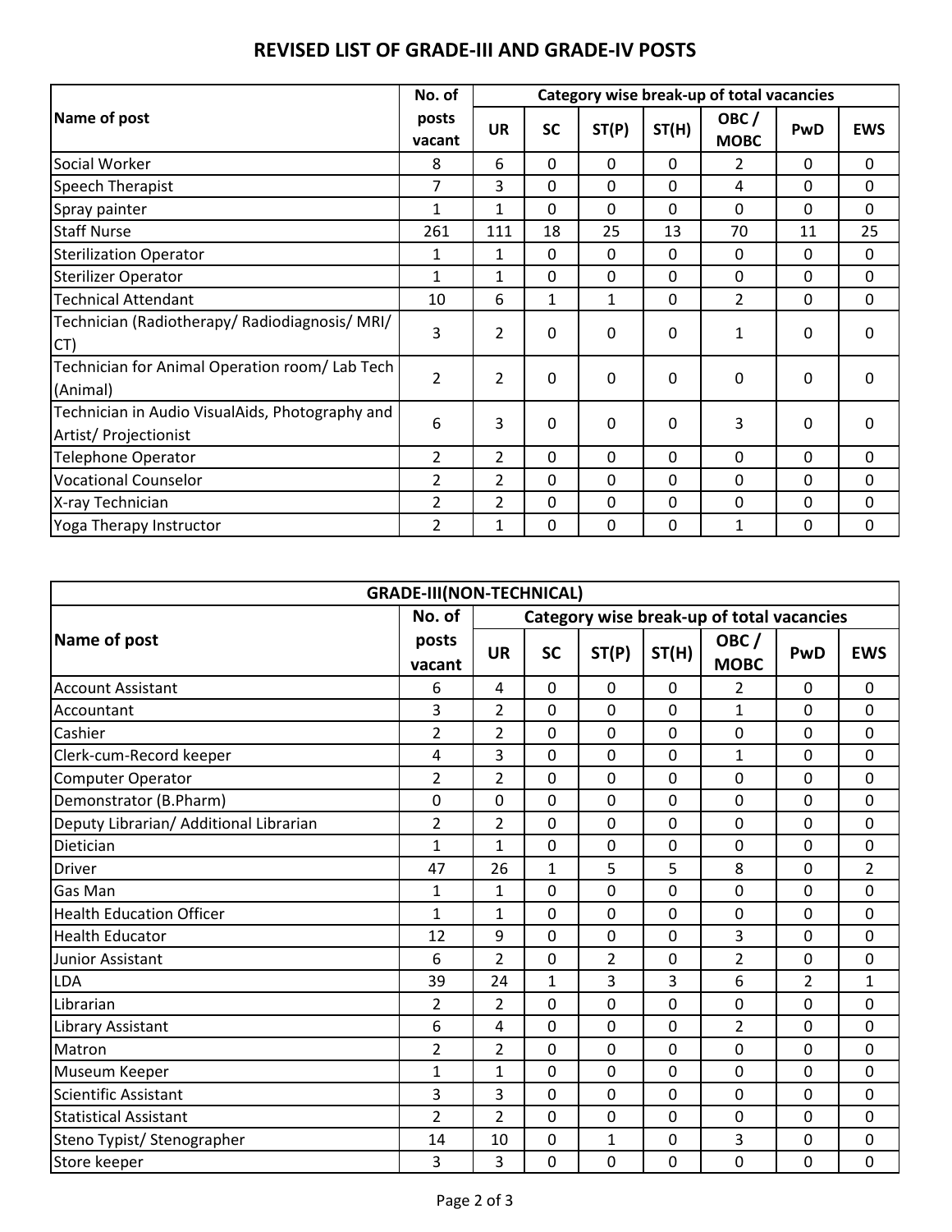|                                                                          | No. of          |                | Category wise break-up of total vacancies |       |              |                     |     |              |
|--------------------------------------------------------------------------|-----------------|----------------|-------------------------------------------|-------|--------------|---------------------|-----|--------------|
| Name of post                                                             | posts<br>vacant | <b>UR</b>      | <b>SC</b>                                 | ST(P) | ST(H)        | OBC/<br><b>MOBC</b> | PwD | <b>EWS</b>   |
| Social Worker                                                            | 8               | 6              | $\mathbf 0$                               | 0     | 0            | 2                   | 0   | 0            |
| Speech Therapist                                                         | 7               | 3              | $\Omega$                                  | 0     | 0            | 4                   | 0   | 0            |
| Spray painter                                                            | $\mathbf{1}$    | 1              | $\Omega$                                  | 0     | 0            | 0                   | 0   | 0            |
| <b>Staff Nurse</b>                                                       | 261             | 111            | 18                                        | 25    | 13           | 70                  | 11  | 25           |
| <b>Sterilization Operator</b>                                            | 1               | 1              | $\mathbf 0$                               | 0     | 0            | 0                   | 0   | 0            |
| <b>Sterilizer Operator</b>                                               | 1               | 1              | $\mathbf 0$                               | 0     | 0            | 0                   | 0   | 0            |
| <b>Technical Attendant</b>                                               | 10              | 6              | 1                                         | 1     | $\mathbf{0}$ | 2                   | 0   | $\mathbf{0}$ |
| Technician (Radiotherapy/ Radiodiagnosis/ MRI/<br>CT)                    | 3               | $\overline{2}$ | $\Omega$                                  | 0     | $\mathbf 0$  | 1                   | 0   | 0            |
| Technician for Animal Operation room/ Lab Tech<br>(Animal)               | $\overline{2}$  | $\overline{2}$ | $\Omega$                                  | 0     | $\mathbf{0}$ | 0                   | 0   | $\mathbf 0$  |
| Technician in Audio VisualAids, Photography and<br>Artist/ Projectionist | 6               | 3              | $\mathbf{0}$                              | 0     | 0            | 3                   | 0   | 0            |
| <b>Telephone Operator</b>                                                | 2               | 2              | $\Omega$                                  | 0     | 0            | 0                   | 0   | 0            |
| <b>Vocational Counselor</b>                                              | $\overline{2}$  | $\overline{2}$ | $\mathbf{0}$                              | 0     | 0            | 0                   | 0   | 0            |
| X-ray Technician                                                         | $\overline{2}$  | 2              | $\mathbf{0}$                              | 0     | 0            | 0                   | 0   | 0            |
| Yoga Therapy Instructor                                                  | $\overline{2}$  | $\mathbf{1}$   | $\Omega$                                  | 0     | 0            | 1                   | 0   | 0            |

## **REVISED LIST OF GRADE-III AND GRADE-IV POSTS**

| <b>GRADE-III(NON-TECHNICAL)</b>        |                 |                                           |             |                |       |                     |                |                |  |
|----------------------------------------|-----------------|-------------------------------------------|-------------|----------------|-------|---------------------|----------------|----------------|--|
|                                        | No. of          | Category wise break-up of total vacancies |             |                |       |                     |                |                |  |
| Name of post                           | posts<br>vacant | <b>UR</b>                                 | <b>SC</b>   | ST(P)          | ST(H) | OBC/<br><b>MOBC</b> | <b>PwD</b>     | <b>EWS</b>     |  |
| <b>Account Assistant</b>               | 6               | 4                                         | $\mathbf 0$ | 0              | 0     | 2                   | 0              | 0              |  |
| Accountant                             | 3               | $\overline{2}$                            | 0           | 0              | 0     | 1                   | 0              | 0              |  |
| Cashier                                | $\overline{2}$  | $\overline{2}$                            | 0           | 0              | 0     | 0                   | 0              | $\mathbf 0$    |  |
| Clerk-cum-Record keeper                | 4               | 3                                         | $\Omega$    | 0              | 0     | $\mathbf{1}$        | 0              | $\mathbf 0$    |  |
| <b>Computer Operator</b>               | $\overline{2}$  | $\overline{2}$                            | 0           | 0              | 0     | 0                   | 0              | $\mathbf 0$    |  |
| Demonstrator (B.Pharm)                 | 0               | 0                                         | $\mathbf 0$ | 0              | 0     | 0                   | 0              | 0              |  |
| Deputy Librarian/ Additional Librarian | $\overline{2}$  | $\overline{2}$                            | 0           | 0              | 0     | 0                   | 0              | $\Omega$       |  |
| Dietician                              | 1               | $\mathbf{1}$                              | $\mathbf 0$ | 0              | 0     | 0                   | 0              | $\mathbf 0$    |  |
| Driver                                 | 47              | 26                                        | 1           | 5              | 5     | 8                   | 0              | $\overline{2}$ |  |
| Gas Man                                | 1               | $\mathbf{1}$                              | 0           | 0              | 0     | 0                   | 0              | $\mathbf 0$    |  |
| <b>Health Education Officer</b>        | $\mathbf{1}$    | $\mathbf{1}$                              | 0           | 0              | 0     | 0                   | 0              | 0              |  |
| <b>Health Educator</b>                 | 12              | 9                                         | 0           | 0              | 0     | 3                   | 0              | $\Omega$       |  |
| Junior Assistant                       | 6               | $\overline{2}$                            | 0           | $\overline{2}$ | 0     | $\overline{2}$      | 0              | 0              |  |
| LDA                                    | 39              | 24                                        | 1           | 3              | 3     | 6                   | $\overline{2}$ | $\mathbf{1}$   |  |
| Librarian                              | $\overline{2}$  | $\overline{2}$                            | $\Omega$    | $\overline{0}$ | 0     | 0                   | 0              | 0              |  |
| Library Assistant                      | 6               | 4                                         | 0           | 0              | 0     | $\overline{2}$      | 0              | 0              |  |
| Matron                                 | $\overline{2}$  | $\overline{2}$                            | 0           | 0              | 0     | 0                   | 0              | $\mathbf 0$    |  |
| Museum Keeper                          | 1               | $\mathbf{1}$                              | 0           | 0              | 0     | 0                   | 0              | $\mathbf 0$    |  |
| <b>Scientific Assistant</b>            | 3               | 3                                         | $\mathbf 0$ | 0              | 0     | 0                   | 0              | $\mathbf 0$    |  |
| <b>Statistical Assistant</b>           | $\overline{2}$  | $\overline{2}$                            | $\Omega$    | $\overline{0}$ | 0     | 0                   | 0              | $\mathbf 0$    |  |
| Steno Typist/ Stenographer             | 14              | 10                                        | 0           | 1              | 0     | 3                   | 0              | 0              |  |
| Store keeper                           | 3               | 3                                         | 0           | 0              | 0     | 0                   | 0              | 0              |  |